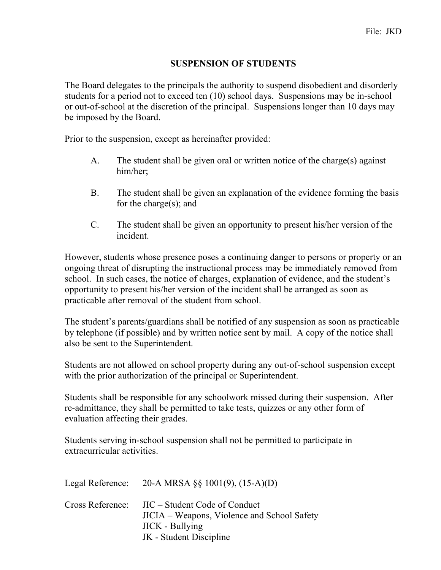## **SUSPENSION OF STUDENTS**

The Board delegates to the principals the authority to suspend disobedient and disorderly students for a period not to exceed ten (10) school days. Suspensions may be in-school or out-of-school at the discretion of the principal. Suspensions longer than 10 days may be imposed by the Board.

Prior to the suspension, except as hereinafter provided:

- A. The student shall be given oral or written notice of the charge(s) against him/her;
- B. The student shall be given an explanation of the evidence forming the basis for the charge(s); and
- C. The student shall be given an opportunity to present his/her version of the incident.

However, students whose presence poses a continuing danger to persons or property or an ongoing threat of disrupting the instructional process may be immediately removed from school. In such cases, the notice of charges, explanation of evidence, and the student's opportunity to present his/her version of the incident shall be arranged as soon as practicable after removal of the student from school.

The student's parents/guardians shall be notified of any suspension as soon as practicable by telephone (if possible) and by written notice sent by mail. A copy of the notice shall also be sent to the Superintendent.

Students are not allowed on school property during any out-of-school suspension except with the prior authorization of the principal or Superintendent.

Students shall be responsible for any schoolwork missed during their suspension. After re-admittance, they shall be permitted to take tests, quizzes or any other form of evaluation affecting their grades.

Students serving in-school suspension shall not be permitted to participate in extracurricular activities.

|                  | Legal Reference: $20-A MRSA \S \S 1001(9), (15-A)(D)$                                                                             |
|------------------|-----------------------------------------------------------------------------------------------------------------------------------|
| Cross Reference: | JIC – Student Code of Conduct<br>JICIA – Weapons, Violence and School Safety<br><b>JICK</b> - Bullying<br>JK - Student Discipline |